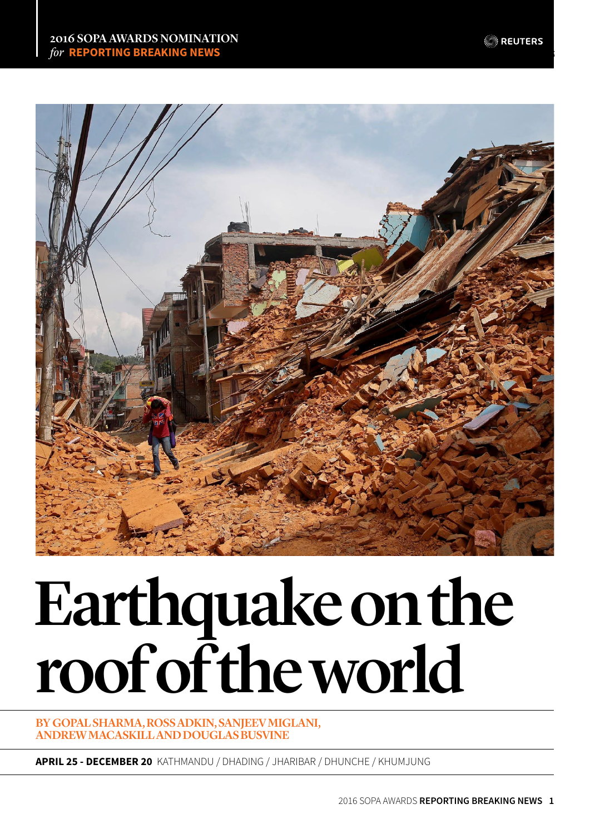

# Earthquake on the roof of the world

BY GOPAL SHARMA, ROSS ADKIN, SANJEEV MIGLANI, ANDREW MACASKILL AND DOUGLAS BUSVINE

**APRIL 25 - DECEMBER 20** KATHMANDU / DHADING / JHARIBAR / DHUNCHE / KHUMJUNG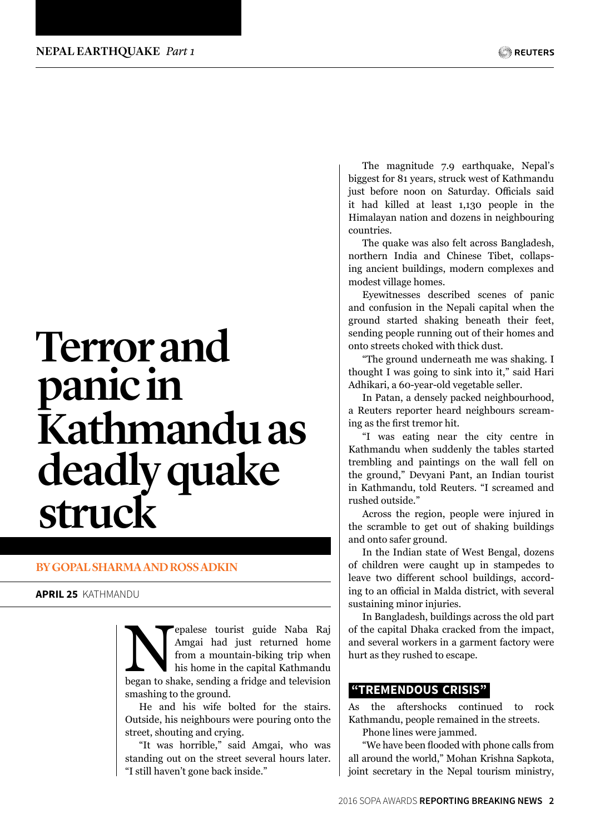# Terror and panic in Kathmandu as deadly quake struck

#### BY GOPAL SHARMA AND ROSS ADKIN

**APRIL 25** KATHMANDU

Pepalese tourist guide Naba Raj Amgai had just returned home from a mountain-biking trip when his home in the capital Kathmandu began to shake, sending a fridge and television Amgai had just returned home from a mountain-biking trip when his home in the capital Kathmandu smashing to the ground.

He and his wife bolted for the stairs. Outside, his neighbours were pouring onto the street, shouting and crying.

"It was horrible," said Amgai, who was standing out on the street several hours later. "I still haven't gone back inside."

The magnitude 7.9 earthquake, Nepal's biggest for 81 years, struck west of Kathmandu just before noon on Saturday. Officials said it had killed at least 1,130 people in the Himalayan nation and dozens in neighbouring countries.

The quake was also felt across Bangladesh, northern India and Chinese Tibet, collapsing ancient buildings, modern complexes and modest village homes.

Eyewitnesses described scenes of panic and confusion in the Nepali capital when the ground started shaking beneath their feet, sending people running out of their homes and onto streets choked with thick dust.

"The ground underneath me was shaking. I thought I was going to sink into it," said Hari Adhikari, a 60-year-old vegetable seller.

In Patan, a densely packed neighbourhood, a Reuters reporter heard neighbours screaming as the first tremor hit.

"I was eating near the city centre in Kathmandu when suddenly the tables started trembling and paintings on the wall fell on the ground," Devyani Pant, an Indian tourist in Kathmandu, told Reuters. "I screamed and rushed outside."

Across the region, people were injured in the scramble to get out of shaking buildings and onto safer ground.

In the Indian state of West Bengal, dozens of children were caught up in stampedes to leave two different school buildings, according to an official in Malda district, with several sustaining minor injuries.

In Bangladesh, buildings across the old part of the capital Dhaka cracked from the impact, and several workers in a garment factory were hurt as they rushed to escape.

#### **"TREMENDOUS CRISIS"**

As the aftershocks continued to rock Kathmandu, people remained in the streets.

Phone lines were jammed.

"We have been flooded with phone calls from all around the world," Mohan Krishna Sapkota, joint secretary in the Nepal tourism ministry,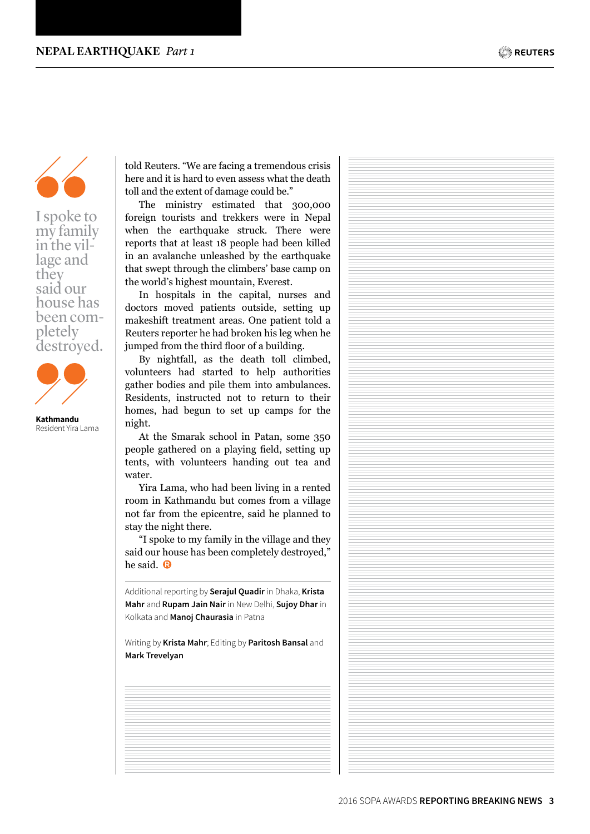#### NEPAL EARTHQUAKE *Part 1*



I spoke to my family in the vil lage and they said our house has been com - pletely destroyed.



**Kathmandu** Resident Yira Lama

told Reuters. "We are facing a tremendous crisis here and it is hard to even assess what the death toll and the extent of damage could be."

The ministry estimated that 300,000 foreign tourists and trekkers were in Nepal when the earthquake struck. There were reports that at least 18 people had been killed in an avalanche unleashed by the earthquake that swept through the climbers' base camp on the world's highest mountain, Everest.

In hospitals in the capital, nurses and doctors moved patients outside, setting up makeshift treatment areas. One patient told a Reuters reporter he had broken his leg when he jumped from the third floor of a building.

By nightfall, as the death toll climbed, volunteers had started to help authorities gather bodies and pile them into ambulances. Residents, instructed not to return to their homes, had begun to set up camps for the night.

At the Smarak school in Patan, some 350 people gathered on a playing field, setting up tents, with volunteers handing out tea and water.

Yira Lama, who had been living in a rented room in Kathmandu but comes from a village not far from the epicentre, said he planned to stay the night there.

"I spoke to my family in the village and they said our house has been completely destroyed," he said.  $\mathbf{\Theta}$ 

Additional reporting by **Serajul Quadir** in Dhaka, **Krista Mahr** and **Rupam Jain Nair** in New Delhi, **Sujoy Dhar** in Kolkata and **Manoj Chaurasia** in Patna

Writing by **Krista Mahr**; Editing by **Paritosh Bansal** and **Mark Trevelyan**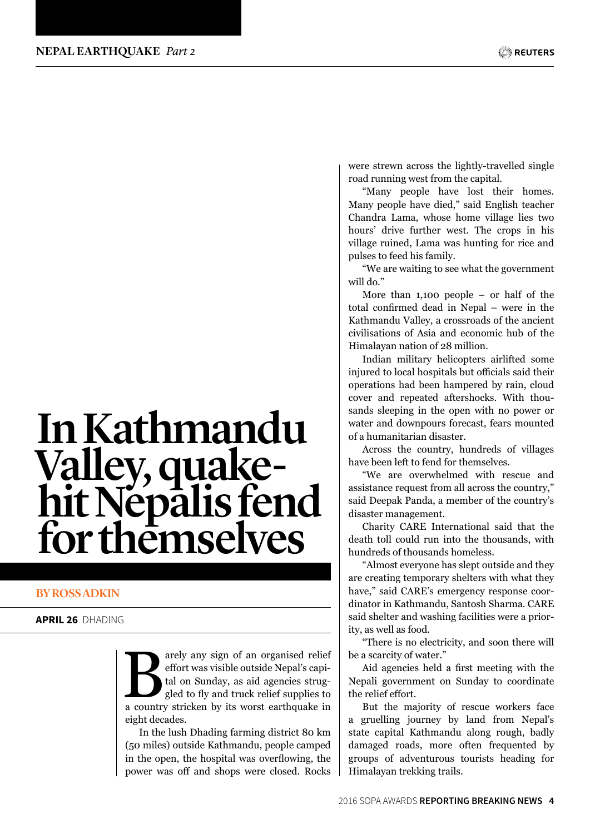# In Kathmandu Valley, quakehit Nepalis fend for themselves

#### BY ROSS ADKIN

**APRIL 26** DHADING

arely any sign of an organised relief effort was visible outside Nepal's capital on Sunday, as aid agencies struggled to fly and truck relief supplies to a country stricken by its worst earthquake in effort was visible outside Nepal's capital on Sunday, as aid agencies struggled to fly and truck relief supplies to eight decades.

In the lush Dhading farming district 80 km (50 miles) outside Kathmandu, people camped in the open, the hospital was overflowing, the power was off and shops were closed. Rocks were strewn across the lightly-travelled single road running west from the capital.

"Many people have lost their homes. Many people have died," said English teacher Chandra Lama, whose home village lies two hours' drive further west. The crops in his village ruined, Lama was hunting for rice and pulses to feed his family.

"We are waiting to see what the government will do."

More than  $1,100$  people – or half of the total confirmed dead in Nepal – were in the Kathmandu Valley, a crossroads of the ancient civilisations of Asia and economic hub of the Himalayan nation of 28 million.

Indian military helicopters airlifted some injured to local hospitals but officials said their operations had been hampered by rain, cloud cover and repeated aftershocks. With thousands sleeping in the open with no power or water and downpours forecast, fears mounted of a humanitarian disaster.

Across the country, hundreds of villages have been left to fend for themselves.

"We are overwhelmed with rescue and assistance request from all across the country," said Deepak Panda, a member of the country's disaster management.

Charity CARE International said that the death toll could run into the thousands, with hundreds of thousands homeless.

"Almost everyone has slept outside and they are creating temporary shelters with what they have," said CARE's emergency response coordinator in Kathmandu, Santosh Sharma. CARE said shelter and washing facilities were a priority, as well as food.

"There is no electricity, and soon there will be a scarcity of water."

Aid agencies held a first meeting with the Nepali government on Sunday to coordinate the relief effort.

But the majority of rescue workers face a gruelling journey by land from Nepal's state capital Kathmandu along rough, badly damaged roads, more often frequented by groups of adventurous tourists heading for Himalayan trekking trails.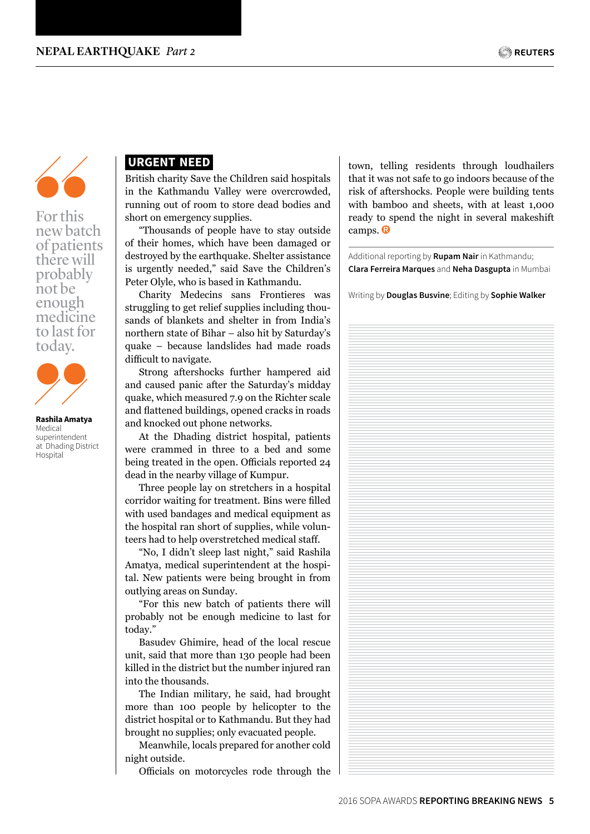

For this new batch of patients there will probably not be enough medicine to last for today.



**Rashila Amatya** Medical superintendent at Dhading District Hospital

#### **URGENT NEED**

British charity Save the Children said hospitals in the Kathmandu Valley were overcrowded, running out of room to store dead bodies and short on emergency supplies.

"Thousands of people have to stay outside of their homes, which have been damaged or destroyed by the earthquake. Shelter assistance is urgently needed," said Save the Children's Peter Olyle, who is based in Kathmandu.

Charity Medecins sans Frontieres was struggling to get relief supplies including thousands of blankets and shelter in from India's northern state of Bihar – also hit by Saturday's quake – because landslides had made roads difficult to navigate.

Strong aftershocks further hampered aid and caused panic after the Saturday's midday quake, which measured 7.9 on the Richter scale and flattened buildings, opened cracks in roads and knocked out phone networks.

At the Dhading district hospital, patients were crammed in three to a bed and some being treated in the open. Officials reported 24 dead in the nearby village of Kumpur.

Three people lay on stretchers in a hospital corridor waiting for treatment. Bins were filled with used bandages and medical equipment as the hospital ran short of supplies, while volunteers had to help overstretched medical staff.

"No, I didn't sleep last night," said Rashila Amatya, medical superintendent at the hospital. New patients were being brought in from outlying areas on Sunday.

"For this new batch of patients there will probably not be enough medicine to last for today."

Basudev Ghimire, head of the local rescue unit, said that more than 130 people had been killed in the district but the number injured ran into the thousands.

The Indian military, he said, had brought more than 100 people by helicopter to the district hospital or to Kathmandu. But they had brought no supplies; only evacuated people.

Meanwhile, locals prepared for another cold night outside.

Officials on motorcycles rode through the

town, telling residents through loudhailers that it was not safe to go indoors because of the risk of aftershocks. People were building tents with bamboo and sheets, with at least 1,000 ready to spend the night in several makeshift camps.  $\mathbf{\Omega}$ 

Additional reporting by **Rupam Nair** in Kathmandu; **Clara Ferreira Marques** and **Neha Dasgupta** in Mumbai

Writing by **Douglas Busvine**; Editing by **Sophie Walker**

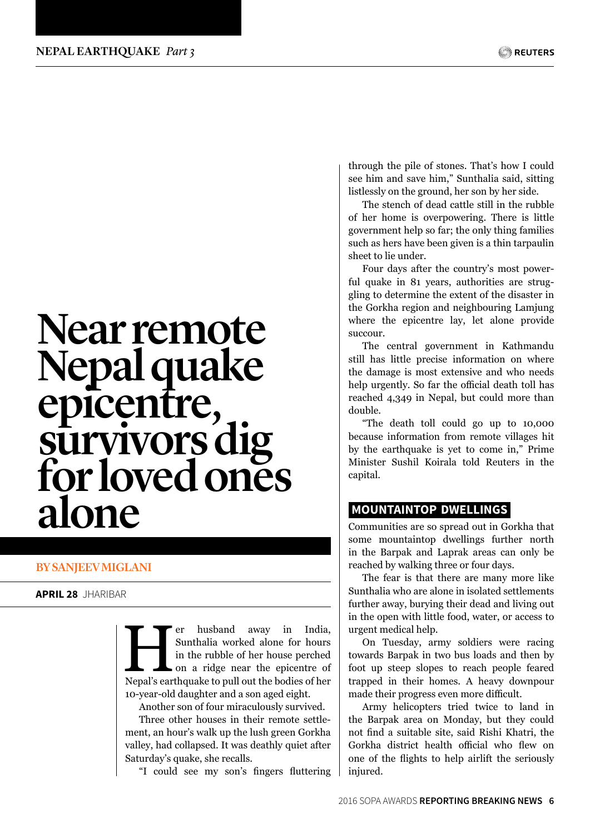### Near remote Nepal quake epicentre, survivors dig for loved ones alone

#### BY SANJEEV MIGLANI

**APRIL 28** JHARIBAR

er husband away in India,<br>
Sunthalia worked alone for hours<br>
in the rubble of her house perched<br>
on a ridge near the epicentre of<br>
Nepal's earthquake to pull out the bodies of her Sunthalia worked alone for hours in the rubble of her house perched on a ridge near the epicentre of 10-year-old daughter and a son aged eight.

Another son of four miraculously survived. Three other houses in their remote settlement, an hour's walk up the lush green Gorkha valley, had collapsed. It was deathly quiet after

Saturday's quake, she recalls. "I could see my son's fingers fluttering through the pile of stones. That's how I could see him and save him," Sunthalia said, sitting listlessly on the ground, her son by her side.

The stench of dead cattle still in the rubble of her home is overpowering. There is little government help so far; the only thing families such as hers have been given is a thin tarpaulin sheet to lie under.

Four days after the country's most powerful quake in 81 years, authorities are struggling to determine the extent of the disaster in the Gorkha region and neighbouring Lamjung where the epicentre lay, let alone provide succour.

The central government in Kathmandu still has little precise information on where the damage is most extensive and who needs help urgently. So far the official death toll has reached 4,349 in Nepal, but could more than double.

"The death toll could go up to 10,000 because information from remote villages hit by the earthquake is yet to come in," Prime Minister Sushil Koirala told Reuters in the capital.

#### **MOUNTAINTOP DWELLINGS**

Communities are so spread out in Gorkha that some mountaintop dwellings further north in the Barpak and Laprak areas can only be reached by walking three or four days.

The fear is that there are many more like Sunthalia who are alone in isolated settlements further away, burying their dead and living out in the open with little food, water, or access to urgent medical help.

On Tuesday, army soldiers were racing towards Barpak in two bus loads and then by foot up steep slopes to reach people feared trapped in their homes. A heavy downpour made their progress even more difficult.

Army helicopters tried twice to land in the Barpak area on Monday, but they could not find a suitable site, said Rishi Khatri, the Gorkha district health official who flew on one of the flights to help airlift the seriously injured.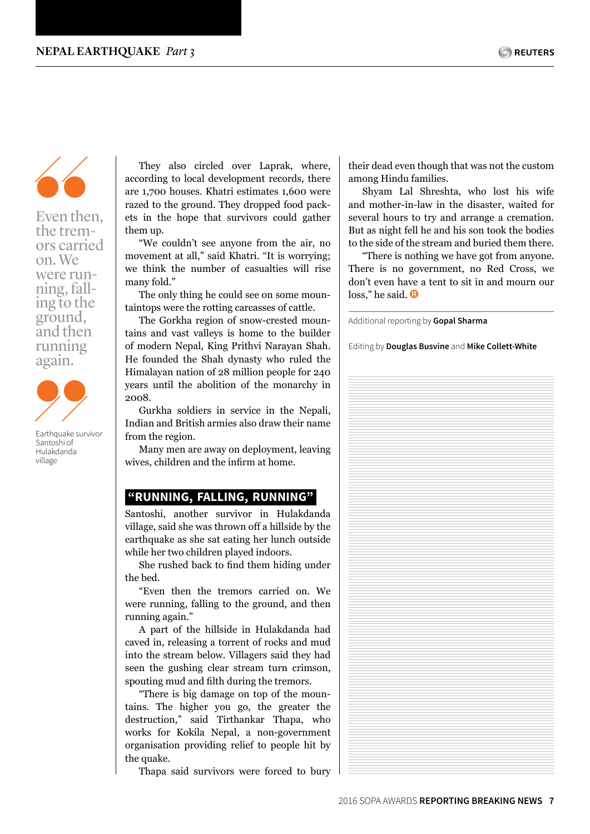#### NEPAL EARTHQUAKE *Part 3*



Even then, the trem- ors carried on. We were run-<br>
ning, fall-<br>
ing to the ground, and then running again.



Earthquake survivor Santoshi of Hulakdanda village

They also circled over Laprak, where, according to local development records, there are 1,700 houses. Khatri estimates 1,600 were razed to the ground. They dropped food packets in the hope that survivors could gather them up.

"We couldn't see anyone from the air, no movement at all," said Khatri. "It is worrying; we think the number of casualties will rise many fold."

The only thing he could see on some mountaintops were the rotting carcasses of cattle.

The Gorkha region of snow-crested mountains and vast valleys is home to the builder of modern Nepal, King Prithvi Narayan Shah. He founded the Shah dynasty who ruled the Himalayan nation of 28 million people for 240 years until the abolition of the monarchy in 2008.

Gurkha soldiers in service in the Nepali, Indian and British armies also draw their name from the region.

Many men are away on deployment, leaving wives, children and the infirm at home.

#### **"RUNNING, FALLING, RUNNING"**

Santoshi, another survivor in Hulakdanda village, said she was thrown off a hillside by the earthquake as she sat eating her lunch outside while her two children played indoors.

She rushed back to find them hiding under the bed.

"Even then the tremors carried on. We were running, falling to the ground, and then running again."

A part of the hillside in Hulakdanda had caved in, releasing a torrent of rocks and mud into the stream below. Villagers said they had seen the gushing clear stream turn crimson, spouting mud and filth during the tremors.

"There is big damage on top of the mountains. The higher you go, the greater the destruction," said Tirthankar Thapa, who works for Kokila Nepal, a non-government organisation providing relief to people hit by the quake.

Thapa said survivors were forced to bury

their dead even though that was not the custom among Hindu families.

Shyam Lal Shreshta, who lost his wife and mother-in-law in the disaster, waited for several hours to try and arrange a cremation. But as night fell he and his son took the bodies to the side of the stream and buried them there.

"There is nothing we have got from anyone. There is no government, no Red Cross, we don't even have a tent to sit in and mourn our  $\cos$ ," he said.  $\mathbf \Omega$ 

Additional reporting by **Gopal Sharma** 

Editing by **Douglas Busvine** and **Mike Collett-White**

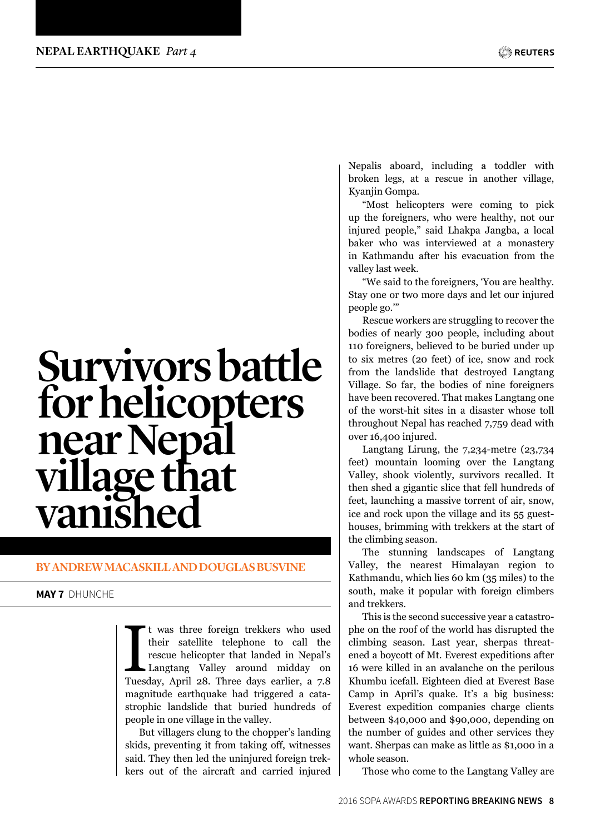# Survivors battle for helicopters near Nepal village that vanished

#### BY ANDREW MACASKILL AND DOUGLAS BUSVINE

**MAY 7** DHUNCHE

It was three foreign trekkers who used<br>their satellite telephone to call the<br>rescue helicopter that landed in Nepal's<br>Langtang Valley around midday on<br>Tuesday, April 28. Three days earlier, a 7.8 t was three foreign trekkers who used their satellite telephone to call the rescue helicopter that landed in Nepal's Langtang Valley around midday on magnitude earthquake had triggered a catastrophic landslide that buried hundreds of people in one village in the valley.

But villagers clung to the chopper's landing skids, preventing it from taking off, witnesses said. They then led the uninjured foreign trekkers out of the aircraft and carried injured Nepalis aboard, including a toddler with broken legs, at a rescue in another village, Kyanjin Gompa.

"Most helicopters were coming to pick up the foreigners, who were healthy, not our injured people," said Lhakpa Jangba, a local baker who was interviewed at a monastery in Kathmandu after his evacuation from the valley last week.

"We said to the foreigners, 'You are healthy. Stay one or two more days and let our injured people go.'"

Rescue workers are struggling to recover the bodies of nearly 300 people, including about 110 foreigners, believed to be buried under up to six metres (20 feet) of ice, snow and rock from the landslide that destroyed Langtang Village. So far, the bodies of nine foreigners have been recovered. That makes Langtang one of the worst-hit sites in a disaster whose toll throughout Nepal has reached 7,759 dead with over 16,400 injured.

Langtang Lirung, the 7,234-metre (23,734 feet) mountain looming over the Langtang Valley, shook violently, survivors recalled. It then shed a gigantic slice that fell hundreds of feet, launching a massive torrent of air, snow, ice and rock upon the village and its 55 guesthouses, brimming with trekkers at the start of the climbing season.

The stunning landscapes of Langtang Valley, the nearest Himalayan region to Kathmandu, which lies 60 km (35 miles) to the south, make it popular with foreign climbers and trekkers.

This is the second successive year a catastrophe on the roof of the world has disrupted the climbing season. Last year, sherpas threatened a boycott of Mt. Everest expeditions after 16 were killed in an avalanche on the perilous Khumbu icefall. Eighteen died at Everest Base Camp in April's quake. It's a big business: Everest expedition companies charge clients between \$40,000 and \$90,000, depending on the number of guides and other services they want. Sherpas can make as little as \$1,000 in a whole season.

Those who come to the Langtang Valley are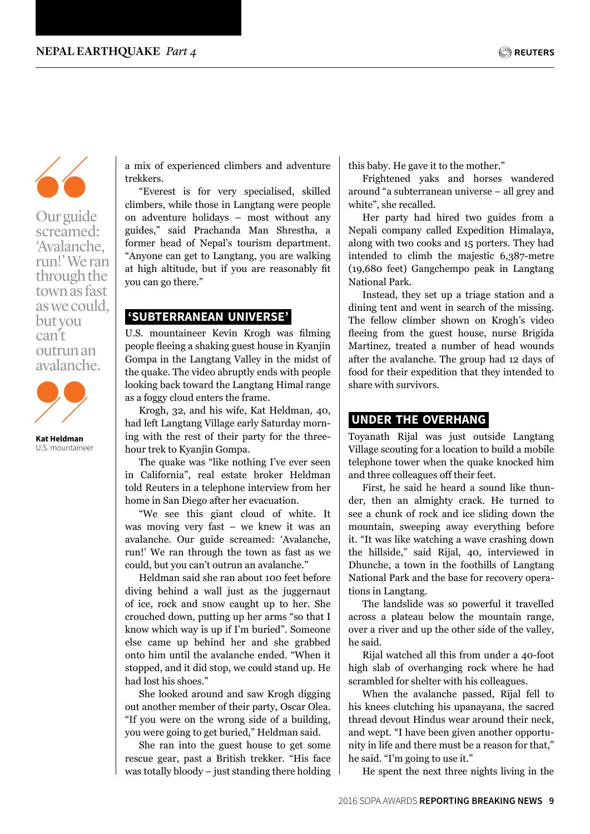

Our guide screamed: 'Avalanche, run!' We ran through the town as fast as we could, but you can't outrun an avalanche.



**Kat Heldman** U.S. mountaineer

a mix of experienced climbers and adventure trekkers.

"Everest is for very specialised, skilled climbers, while those in Langtang were people on adventure holidays – most without any guides," said Prachanda Man Shrestha, a former head of Nepal's tourism department. "Anyone can get to Langtang, you are walking at high altitude, but if you are reasonably fit you can go there."

#### **'SUBTERRANEAN UNIVERSE'**

U.S. mountaineer Kevin Krogh was filming people fleeing a shaking guest house in Kyanjin Gompa in the Langtang Valley in the midst of the quake. The video abruptly ends with people looking back toward the Langtang Himal range as a foggy cloud enters the frame.

Krogh, 32, and his wife, Kat Heldman, 40, had left Langtang Village early Saturday morning with the rest of their party for the threehour trek to Kyanjin Gompa.

The quake was "like nothing I've ever seen in California", real estate broker Heldman told Reuters in a telephone interview from her home in San Diego after her evacuation.

"We see this giant cloud of white. It was moving very fast – we knew it was an avalanche. Our guide screamed: 'Avalanche, run!' We ran through the town as fast as we could, but you can't outrun an avalanche."

Heldman said she ran about 100 feet before diving behind a wall just as the juggernaut of ice, rock and snow caught up to her. She crouched down, putting up her arms "so that I know which way is up if I'm buried". Someone else came up behind her and she grabbed onto him until the avalanche ended. "When it stopped, and it did stop, we could stand up. He had lost his shoes."

She looked around and saw Krogh digging out another member of their party, Oscar Olea. "If you were on the wrong side of a building, you were going to get buried," Heldman said.

She ran into the guest house to get some rescue gear, past a British trekker. "His face was totally bloody – just standing there holding this baby. He gave it to the mother."

Frightened yaks and horses wandered around "a subterranean universe – all grey and white", she recalled.

Her party had hired two guides from a Nepali company called Expedition Himalaya, along with two cooks and 15 porters. They had intended to climb the majestic 6,387-metre (19,680 feet) Gangchempo peak in Langtang National Park.

Instead, they set up a triage station and a dining tent and went in search of the missing. The fellow climber shown on Krogh's video fleeing from the guest house, nurse Brigida Martinez, treated a number of head wounds after the avalanche. The group had 12 days of food for their expedition that they intended to share with survivors.

#### **UNDER THE OVERHANG**

Toyanath Rijal was just outside Langtang Village scouting for a location to build a mobile telephone tower when the quake knocked him and three colleagues off their feet.

First, he said he heard a sound like thunder, then an almighty crack. He turned to see a chunk of rock and ice sliding down the mountain, sweeping away everything before it. "It was like watching a wave crashing down the hillside," said Rijal, 40, interviewed in Dhunche, a town in the foothills of Langtang National Park and the base for recovery operations in Langtang.

The landslide was so powerful it travelled across a plateau below the mountain range, over a river and up the other side of the valley, he said.

Rijal watched all this from under a 40-foot high slab of overhanging rock where he had scrambled for shelter with his colleagues.

When the avalanche passed, Rijal fell to his knees clutching his upanayana, the sacred thread devout Hindus wear around their neck, and wept. "I have been given another opportunity in life and there must be a reason for that," he said. "I'm going to use it."

He spent the next three nights living in the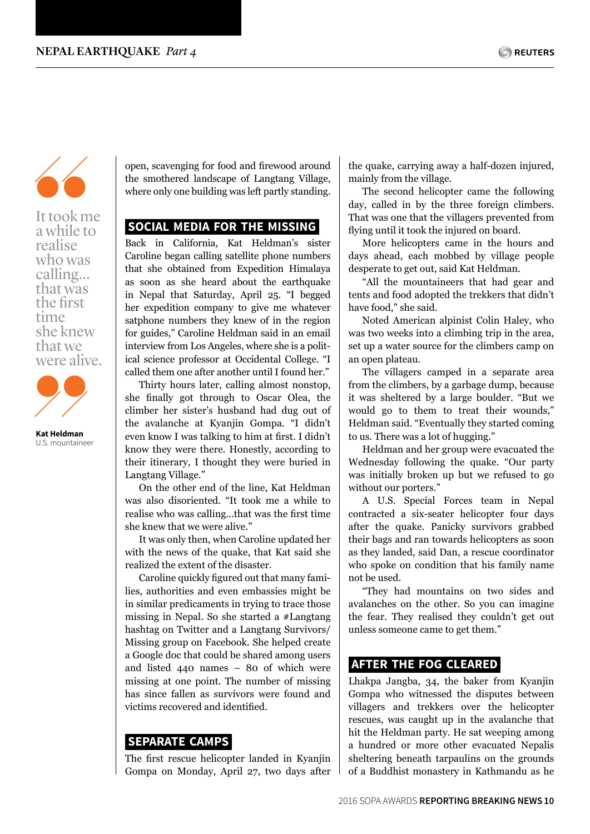

It took me a while to realise who was calling... that was the first time she knew that we were alive.



**Kat Heldman** U.S. mountaineer

open, scavenging for food and firewood around the smothered landscape of Langtang Village, where only one building was left partly standing.

#### **SOCIAL MEDIA FOR THE MISSING**

Back in California, Kat Heldman's sister Caroline began calling satellite phone numbers that she obtained from Expedition Himalaya as soon as she heard about the earthquake in Nepal that Saturday, April 25. "I begged her expedition company to give me whatever satphone numbers they knew of in the region for guides," Caroline Heldman said in an email interview from Los Angeles, where she is a political science professor at Occidental College. "I called them one after another until I found her."

Thirty hours later, calling almost nonstop, she finally got through to Oscar Olea, the climber her sister's husband had dug out of the avalanche at Kyanjin Gompa. "I didn't even know I was talking to him at first. I didn't know they were there. Honestly, according to their itinerary, I thought they were buried in Langtang Village."

On the other end of the line, Kat Heldman was also disoriented. "It took me a while to realise who was calling...that was the first time she knew that we were alive."

It was only then, when Caroline updated her with the news of the quake, that Kat said she realized the extent of the disaster.

Caroline quickly figured out that many families, authorities and even embassies might be in similar predicaments in trying to trace those missing in Nepal. So she started a #Langtang hashtag on Twitter and a Langtang Survivors/ Missing group on Facebook. She helped create a Google doc that could be shared among users and listed 440 names – 80 of which were missing at one point. The number of missing has since fallen as survivors were found and victims recovered and identified.

#### **SEPARATE CAMPS**

The first rescue helicopter landed in Kyanjin Gompa on Monday, April 27, two days after the quake, carrying away a half-dozen injured, mainly from the village.

The second helicopter came the following day, called in by the three foreign climbers. That was one that the villagers prevented from flying until it took the injured on board.

More helicopters came in the hours and days ahead, each mobbed by village people desperate to get out, said Kat Heldman.

"All the mountaineers that had gear and tents and food adopted the trekkers that didn't have food," she said.

Noted American alpinist Colin Haley, who was two weeks into a climbing trip in the area, set up a water source for the climbers camp on an open plateau.

The villagers camped in a separate area from the climbers, by a garbage dump, because it was sheltered by a large boulder. "But we would go to them to treat their wounds," Heldman said. "Eventually they started coming to us. There was a lot of hugging."

Heldman and her group were evacuated the Wednesday following the quake. "Our party was initially broken up but we refused to go without our porters."

A U.S. Special Forces team in Nepal contracted a six-seater helicopter four days after the quake. Panicky survivors grabbed their bags and ran towards helicopters as soon as they landed, said Dan, a rescue coordinator who spoke on condition that his family name not be used.

"They had mountains on two sides and avalanches on the other. So you can imagine the fear. They realised they couldn't get out unless someone came to get them."

#### **AFTER THE FOG CLEARED**

Lhakpa Jangba, 34, the baker from Kyanjin Gompa who witnessed the disputes between villagers and trekkers over the helicopter rescues, was caught up in the avalanche that hit the Heldman party. He sat weeping among a hundred or more other evacuated Nepalis sheltering beneath tarpaulins on the grounds of a Buddhist monastery in Kathmandu as he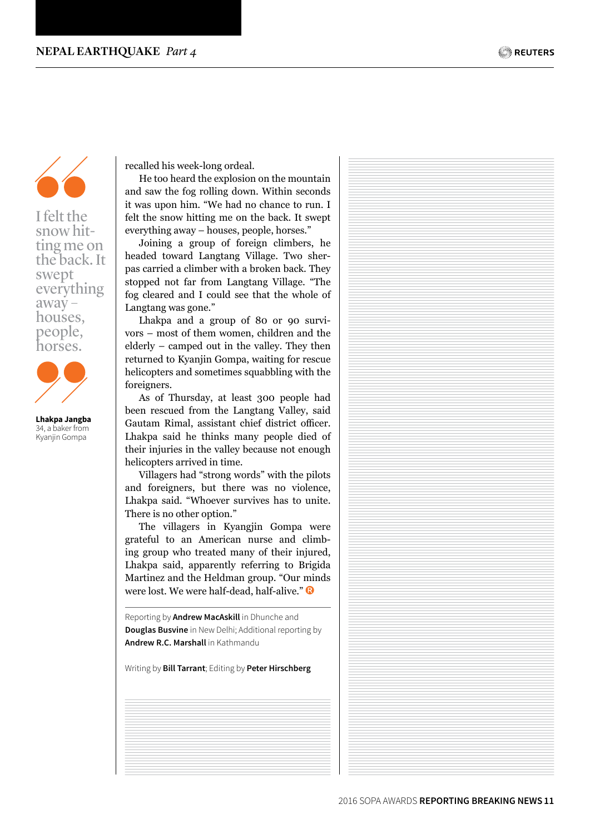

I felt the snow hit ting me on the back. It swept everything away – houses, people, horses.



**Lhakpa Jangba** 34, a baker from Kyanjin Gompa

recalled his week-long ordeal.

He too heard the explosion on the mountain and saw the fog rolling down. Within seconds it was upon him. "We had no chance to run. I felt the snow hitting me on the back. It swept everything away – houses, people, horses."

Joining a group of foreign climbers, he headed toward Langtang Village. Two sher pas carried a climber with a broken back. They stopped not far from Langtang Village. "The fog cleared and I could see that the whole of Langtang was gone."

Lhakpa and a group of 80 or 90 survi vors – most of them women, children and the elderly – camped out in the valley. They then returned to Kyanjin Gompa, waiting for rescue helicopters and sometimes squabbling with the foreigners.

As of Thursday, at least 300 people had been rescued from the Langtang Valley, said Gautam Rimal, assistant chief district officer. Lhakpa said he thinks many people died of their injuries in the valley because not enough helicopters arrived in time.

Villagers had "strong words" with the pilots and foreigners, but there was no violence, Lhakpa said. "Whoever survives has to unite. There is no other option."

The villagers in Kyangjin Gompa were grateful to an American nurse and climb ing group who treated many of their injured, Lhakpa said, apparently referring to Brigida Martinez and the Heldman group. "Our minds were lost. We were half-dead, half-alive."

Reporting by **Andrew MacAskill** in Dhunche and **Douglas Busvine** in New Delhi; Additional reporting by **Andrew R.C. Marshall** in Kathmandu

Writing by **Bill Tarrant**; Editing by **Peter Hirschberg**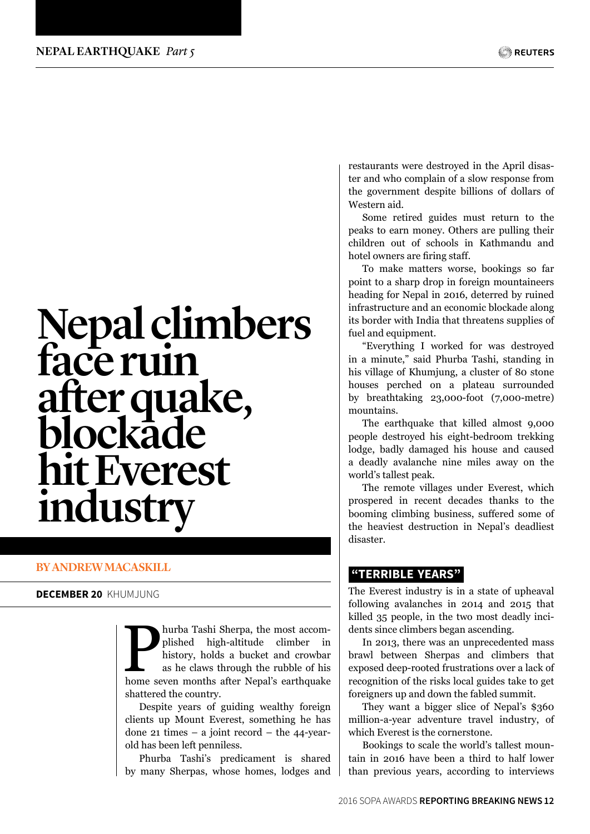# Nepal climbers face ruin after quake, blockade hit Everest industry

#### BY ANDREW MACASKILL

**DECEMBER 20** KHUMJUNG

Phurba Tashi Sherpa, the most accom-<br>plished high-altitude climber in<br>history, holds a bucket and crowbar<br>as he claws through the rubble of his<br>home seven months after Nepal's earthquake plished high-altitude climber in history, holds a bucket and crowbar as he claws through the rubble of his shattered the country.

Despite years of guiding wealthy foreign clients up Mount Everest, something he has done 21 times – a joint record – the 44-yearold has been left penniless.

Phurba Tashi's predicament is shared by many Sherpas, whose homes, lodges and restaurants were destroyed in the April disaster and who complain of a slow response from the government despite billions of dollars of Western aid.

Some retired guides must return to the peaks to earn money. Others are pulling their children out of schools in Kathmandu and hotel owners are firing staff.

To make matters worse, bookings so far point to a sharp drop in foreign mountaineers heading for Nepal in 2016, deterred by ruined infrastructure and an economic blockade along its border with India that threatens supplies of fuel and equipment.

"Everything I worked for was destroyed in a minute," said Phurba Tashi, standing in his village of Khumjung, a cluster of 80 stone houses perched on a plateau surrounded by breathtaking 23,000-foot (7,000-metre) mountains.

The earthquake that killed almost 9,000 people destroyed his eight-bedroom trekking lodge, badly damaged his house and caused a deadly avalanche nine miles away on the world's tallest peak.

The remote villages under Everest, which prospered in recent decades thanks to the booming climbing business, suffered some of the heaviest destruction in Nepal's deadliest disaster.

#### **"TERRIBLE YEARS"**

The Everest industry is in a state of upheaval following avalanches in 2014 and 2015 that killed 35 people, in the two most deadly incidents since climbers began ascending.

In 2013, there was an unprecedented mass brawl between Sherpas and climbers that exposed deep-rooted frustrations over a lack of recognition of the risks local guides take to get foreigners up and down the fabled summit.

They want a bigger slice of Nepal's \$360 million-a-year adventure travel industry, of which Everest is the cornerstone.

Bookings to scale the world's tallest mountain in 2016 have been a third to half lower than previous years, according to interviews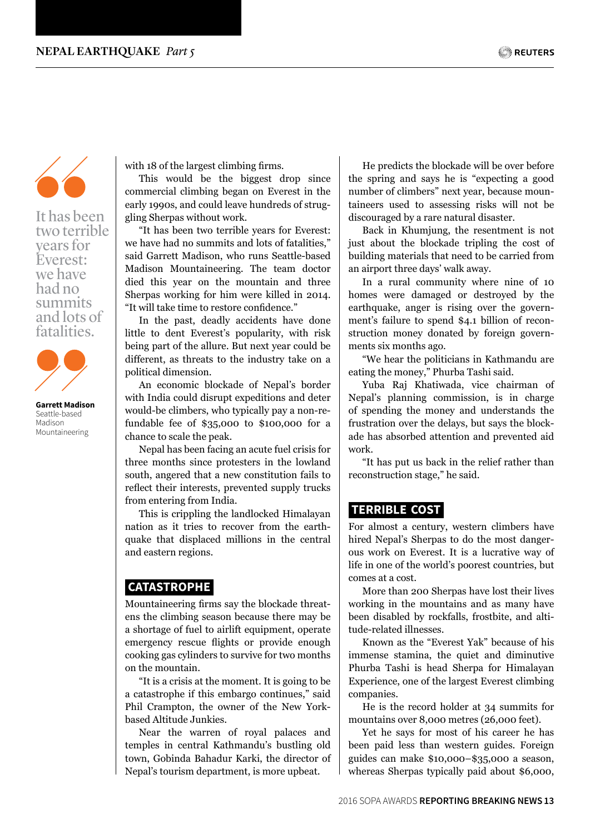

It has been two terrible years for Everest: we have had no summits and lots of fatalities.



**Garrett Madison** Seattle-based Madison Mountaineering

with 18 of the largest climbing firms.

This would be the biggest drop since commercial climbing began on Everest in the early 1990s, and could leave hundreds of struggling Sherpas without work.

"It has been two terrible years for Everest: we have had no summits and lots of fatalities," said Garrett Madison, who runs Seattle-based Madison Mountaineering. The team doctor died this year on the mountain and three Sherpas working for him were killed in 2014. "It will take time to restore confidence."

In the past, deadly accidents have done little to dent Everest's popularity, with risk being part of the allure. But next year could be different, as threats to the industry take on a political dimension.

An economic blockade of Nepal's border with India could disrupt expeditions and deter would-be climbers, who typically pay a non-refundable fee of \$35,000 to \$100,000 for a chance to scale the peak.

Nepal has been facing an acute fuel crisis for three months since protesters in the lowland south, angered that a new constitution fails to reflect their interests, prevented supply trucks from entering from India.

This is crippling the landlocked Himalayan nation as it tries to recover from the earthquake that displaced millions in the central and eastern regions.

#### **CATASTROPHE**

Mountaineering firms say the blockade threatens the climbing season because there may be a shortage of fuel to airlift equipment, operate emergency rescue flights or provide enough cooking gas cylinders to survive for two months on the mountain.

"It is a crisis at the moment. It is going to be a catastrophe if this embargo continues," said Phil Crampton, the owner of the New Yorkbased Altitude Junkies.

Near the warren of royal palaces and temples in central Kathmandu's bustling old town, Gobinda Bahadur Karki, the director of Nepal's tourism department, is more upbeat.

He predicts the blockade will be over before the spring and says he is "expecting a good number of climbers" next year, because mountaineers used to assessing risks will not be discouraged by a rare natural disaster.

Back in Khumjung, the resentment is not just about the blockade tripling the cost of building materials that need to be carried from an airport three days' walk away.

In a rural community where nine of 10 homes were damaged or destroyed by the earthquake, anger is rising over the government's failure to spend \$4.1 billion of reconstruction money donated by foreign governments six months ago.

"We hear the politicians in Kathmandu are eating the money," Phurba Tashi said.

Yuba Raj Khatiwada, vice chairman of Nepal's planning commission, is in charge of spending the money and understands the frustration over the delays, but says the blockade has absorbed attention and prevented aid work.

"It has put us back in the relief rather than reconstruction stage," he said.

#### **TERRIBLE COST**

For almost a century, western climbers have hired Nepal's Sherpas to do the most dangerous work on Everest. It is a lucrative way of life in one of the world's poorest countries, but comes at a cost.

More than 200 Sherpas have lost their lives working in the mountains and as many have been disabled by rockfalls, frostbite, and altitude-related illnesses.

Known as the "Everest Yak" because of his immense stamina, the quiet and diminutive Phurba Tashi is head Sherpa for Himalayan Experience, one of the largest Everest climbing companies.

He is the record holder at 34 summits for mountains over 8,000 metres (26,000 feet).

Yet he says for most of his career he has been paid less than western guides. Foreign guides can make \$10,000–\$35,000 a season, whereas Sherpas typically paid about \$6,000,